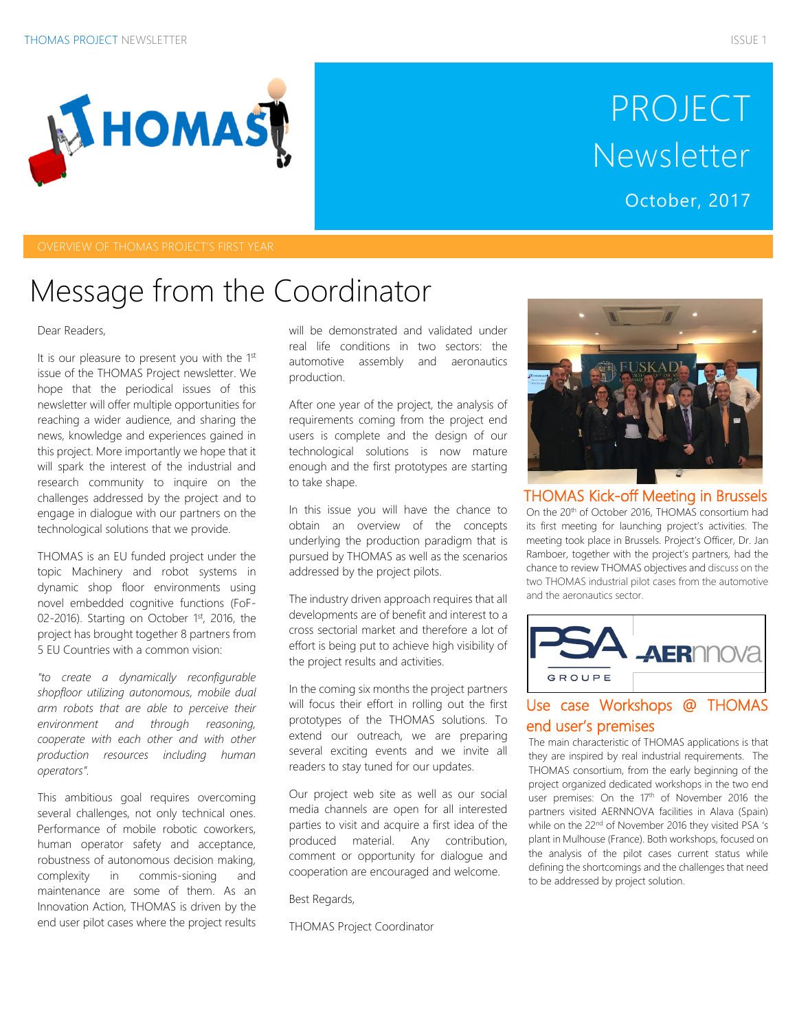

# PROJECT Newsletter

October, 2017

### Message from the Coordinator

#### Dear Readers,

It is our pleasure to present you with the 1st issue of the THOMAS Project newsletter. We hope that the periodical issues of this newsletter will offer multiple opportunities for reaching a wider audience, and sharing the news, knowledge and experiences gained in this project. More importantly we hope that it will spark the interest of the industrial and research community to inquire on the challenges addressed by the project and to engage in dialogue with our partners on the technological solutions that we provide.

THOMAS is an EU funded project under the topic Machinery and robot systems in dynamic shop floor environments using novel embedded cognitive functions (FoF-02-2016). Starting on October 1st, 2016, the project has brought together 8 partners from 5 EU Countries with a common vision:

*"to create a dynamically reconfigurable shopfloor utilizing autonomous, mobile dual arm robots that are able to perceive their environment and through reasoning, cooperate with each other and with other production resources including human operators".*

This ambitious goal requires overcoming several challenges, not only technical ones. Performance of mobile robotic coworkers, human operator safety and acceptance, robustness of autonomous decision making, complexity in commis-sioning and maintenance are some of them. As an Innovation Action, THOMAS is driven by the end user pilot cases where the project results will be demonstrated and validated under real life conditions in two sectors: the automotive assembly and aeronautics production.

After one year of the project, the analysis of requirements coming from the project end users is complete and the design of our technological solutions is now mature enough and the first prototypes are starting to take shape.

In this issue you will have the chance to obtain an overview of the concepts underlying the production paradigm that is pursued by THOMAS as well as the scenarios addressed by the project pilots.

The industry driven approach requires that all developments are of benefit and interest to a cross sectorial market and therefore a lot of effort is being put to achieve high visibility of the project results and activities.

In the coming six months the project partners will focus their effort in rolling out the first prototypes of the THOMAS solutions. To extend our outreach, we are preparing several exciting events and we invite all readers to stay tuned for our updates.

Our project web site as well as our social media channels are open for all interested parties to visit and acquire a first idea of the produced material. Any contribution, comment or opportunity for dialogue and cooperation are encouraged and welcome.

Best Regards,

THOMAS Project Coordinator



THOMAS Kick-off Meeting in Brussels On the 20th of October 2016, THOMAS consortium had its first meeting for launching project's activities. The meeting took place in Brussels. Project's Officer, Dr. Jan Ramboer, together with the project's partners, had the chance to review THOMAS objectives and discuss on the two THOMAS industrial pilot cases from the automotive and the aeronautics sector.



### Use case Workshops @ THOMAS end user's premises

The main characteristic of THOMAS applications is that they are inspired by real industrial requirements. The THOMAS consortium, from the early beginning of the project organized dedicated workshops in the two end user premises: On the 17<sup>th</sup> of November 2016 the partners visited AERNNOVA facilities in Alava (Spain) while on the 22<sup>nd</sup> of November 2016 they visited PSA 's plant in Mulhouse (France). Both workshops, focused on the analysis of the pilot cases current status while defining the shortcomings and the challenges that need to be addressed by project solution.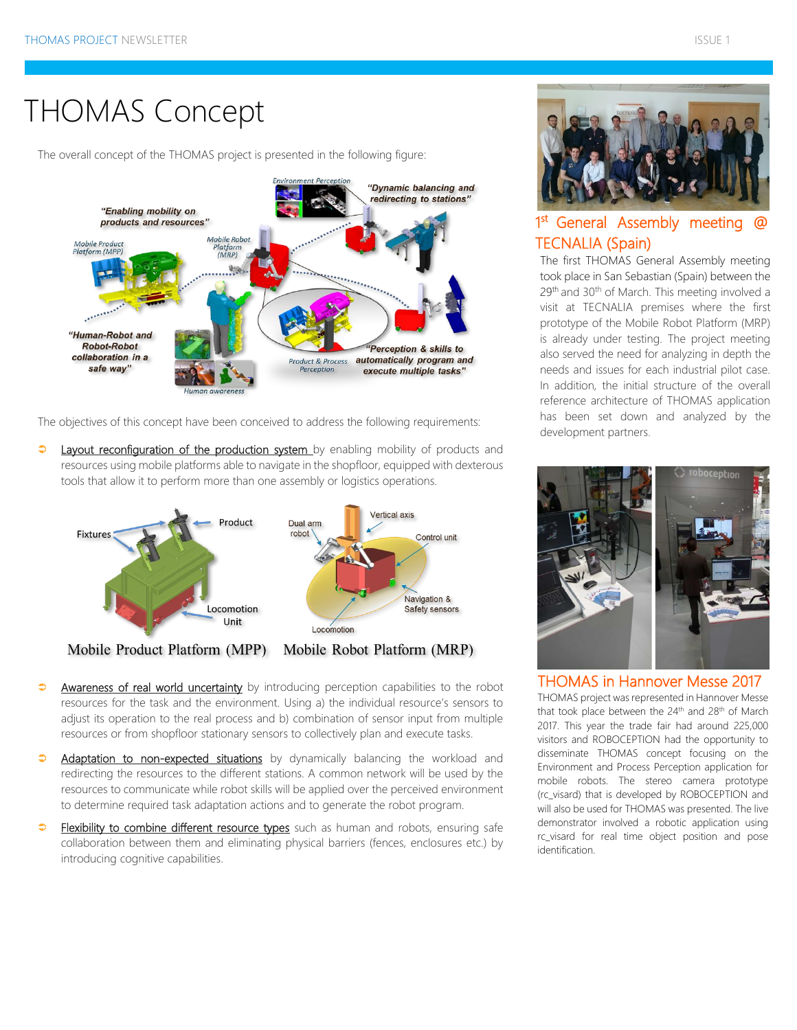### THOMAS Concept

The overall concept of the THOMAS project is presented in the following figure:



The objectives of this concept have been conceived to address the following requirements:

 $\Rightarrow$ Layout reconfiguration of the production system by enabling mobility of products and resources using mobile platforms able to navigate in the shopfloor, equipped with dexterous tools that allow it to perform more than one assembly or logistics operations.



Mobile Product Platform (MPP)



- $\Rightarrow$ Awareness of real world uncertainty by introducing perception capabilities to the robot resources for the task and the environment. Using a) the individual resource's sensors to adjust its operation to the real process and b) combination of sensor input from multiple resources or from shopfloor stationary sensors to collectively plan and execute tasks.
- $\ddot{\bullet}$ Adaptation to non-expected situations by dynamically balancing the workload and redirecting the resources to the different stations. A common network will be used by the resources to communicate while robot skills will be applied over the perceived environment to determine required task adaptation actions and to generate the robot program.
- $\Rightarrow$ Flexibility to combine different resource types such as human and robots, ensuring safe collaboration between them and eliminating physical barriers (fences, enclosures etc.) by introducing cognitive capabilities.



### 1<sup>st</sup> General Assembly meeting @ TECNALIA (Spain)

The first THOMAS General Assembly meeting took place in San Sebastian (Spain) between the 29<sup>th</sup> and 30<sup>th</sup> of March. This meeting involved a visit at TECNALIA premises where the first prototype of the Mobile Robot Platform (MRP) is already under testing. The project meeting also served the need for analyzing in depth the needs and issues for each industrial pilot case. In addition, the initial structure of the overall reference architecture of THOMAS application has been set down and analyzed by the development partners.



#### THOMAS in Hannover Messe 2017

THOMAS project was represented in Hannover Messe that took place between the  $24<sup>th</sup>$  and  $28<sup>th</sup>$  of March 2017. This year the trade fair had around 225,000 visitors and ROBOCEPTION had the opportunity to disseminate THOMAS concept focusing on the Environment and Process Perception application for mobile robots. The stereo camera prototype (rc\_visard) that is developed by ROBOCEPTION and will also be used for THOMAS was presented. The live demonstrator involved a robotic application using rc\_visard for real time object position and pose identification.